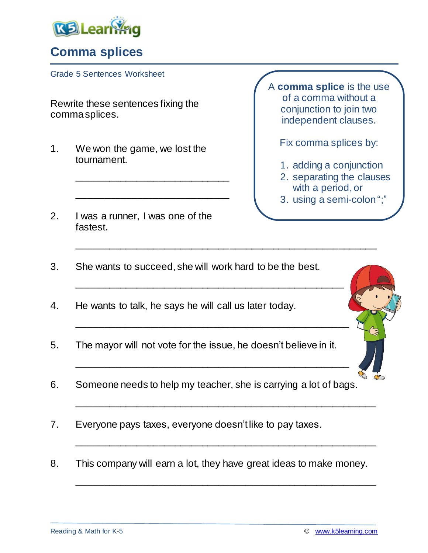

## **Comma splices**

Grade 5 Sentences Worksheet

Rewrite these sentences fixing the comma splices.

1. We won the game, we lost the tournament.

\_\_\_\_\_\_\_\_\_\_\_\_\_\_\_\_\_\_\_\_\_\_\_\_\_\_\_\_

\_\_\_\_\_\_\_\_\_\_\_\_\_\_\_\_\_\_\_\_\_\_\_\_\_\_\_\_

2. I was a runner, I was one of the fastest.

A **comma splice** is the use of a comma without a conjunction to join two independent clauses.

Fix comma splices by:

- 1. adding a conjunction
- 2. separating the clauses with a period, or
- 3. using a semi-colon ";"

3. She wants to succeed, she will work hard to be the best.

\_\_\_\_\_\_\_\_\_\_\_\_\_\_\_\_\_\_\_\_\_\_\_\_\_\_\_\_\_\_\_\_\_\_\_\_\_\_\_\_\_\_\_\_\_\_\_\_\_\_\_\_\_\_\_

\_\_\_\_\_\_\_\_\_\_\_\_\_\_\_\_\_\_\_\_\_\_\_\_\_\_\_\_\_\_\_\_\_\_\_\_\_\_\_\_\_\_\_\_\_\_\_\_\_

\_\_\_\_\_\_\_\_\_\_\_\_\_\_\_\_\_\_\_\_\_\_\_\_\_\_\_\_\_\_\_\_\_\_\_\_\_\_\_\_\_\_\_\_\_\_\_\_\_\_

\_\_\_\_\_\_\_\_\_\_\_\_\_\_\_\_\_\_\_\_\_\_\_\_\_\_\_\_\_\_\_\_\_\_\_\_\_\_\_\_\_\_\_\_\_\_\_\_\_\_

\_\_\_\_\_\_\_\_\_\_\_\_\_\_\_\_\_\_\_\_\_\_\_\_\_\_\_\_\_\_\_\_\_\_\_\_\_\_\_\_\_\_\_\_\_\_\_\_\_\_\_\_\_\_\_

\_\_\_\_\_\_\_\_\_\_\_\_\_\_\_\_\_\_\_\_\_\_\_\_\_\_\_\_\_\_\_\_\_\_\_\_\_\_\_\_\_\_\_\_\_\_\_\_\_\_\_\_\_\_\_

\_\_\_\_\_\_\_\_\_\_\_\_\_\_\_\_\_\_\_\_\_\_\_\_\_\_\_\_\_\_\_\_\_\_\_\_\_\_\_\_\_\_\_\_\_\_\_\_\_\_\_\_\_\_\_

- 4. He wants to talk, he says he will call us later today.
- 5. The mayor will not vote for the issue, he doesn't believe in it.
- 6. Someone needs to help my teacher, she is carrying a lot of bags.
- 7. Everyone pays taxes, everyone doesn't like to pay taxes.
- 8. This company will earn a lot, they have great ideas to make money.